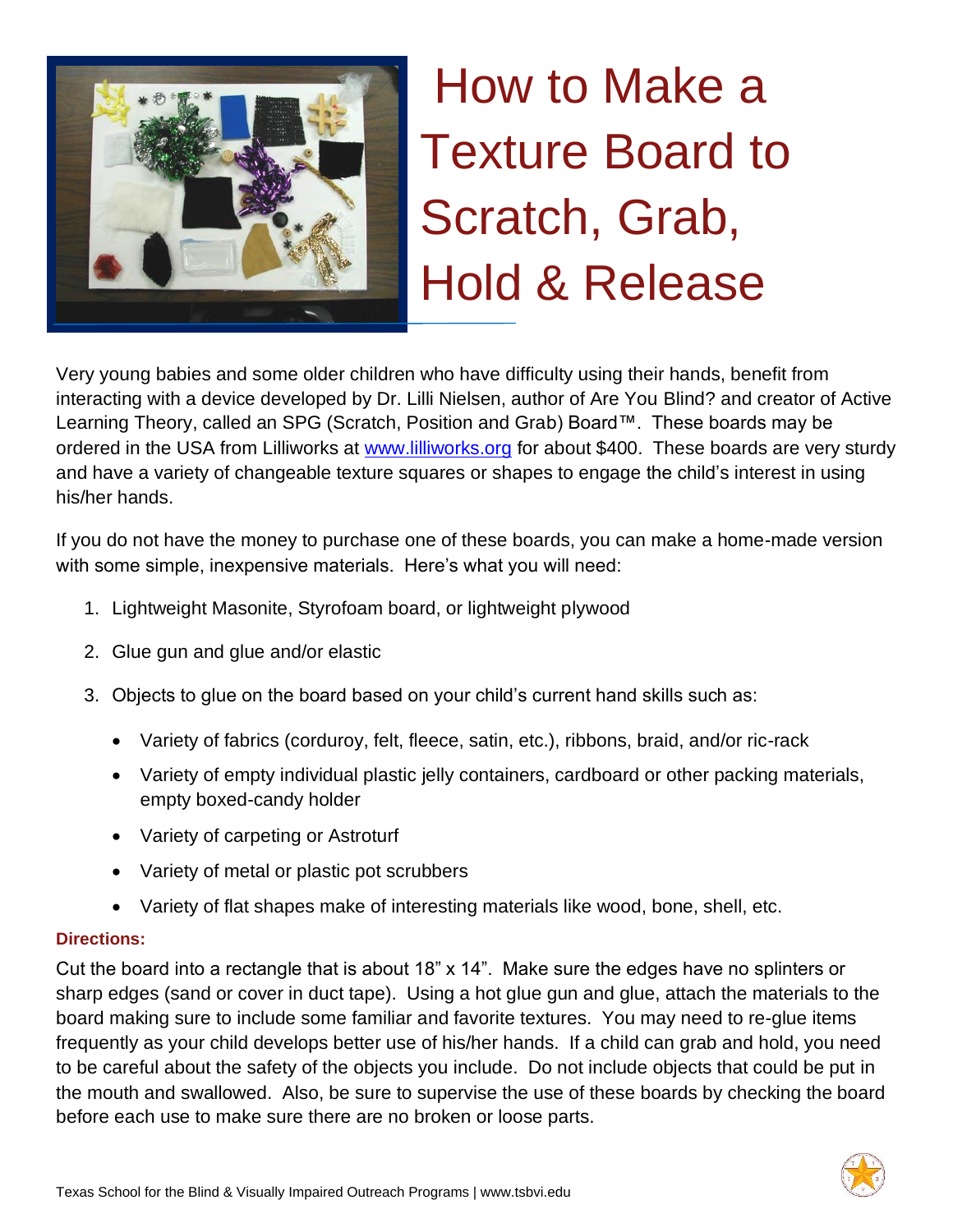

# How to Make a Texture Board to Scratch, Grab, Hold & Release

Very young babies and some older children who have difficulty using their hands, benefit from interacting with a device developed by Dr. Lilli Nielsen, author of Are You Blind? and creator of Active Learning Theory, called an SPG (Scratch, Position and Grab) Board™. These boards may be ordered in the USA from Lilliworks at [www.lilliworks.org](http://www.lilliworks.org/) for about \$400. These boards are very sturdy and have a variety of changeable texture squares or shapes to engage the child's interest in using his/her hands.

If you do not have the money to purchase one of these boards, you can make a home-made version with some simple, inexpensive materials. Here's what you will need:

- 1. Lightweight Masonite, Styrofoam board, or lightweight plywood
- 2. Glue gun and glue and/or elastic
- 3. Objects to glue on the board based on your child's current hand skills such as:
	- Variety of fabrics (corduroy, felt, fleece, satin, etc.), ribbons, braid, and/or ric-rack
	- Variety of empty individual plastic jelly containers, cardboard or other packing materials, empty boxed-candy holder
	- Variety of carpeting or Astroturf
	- Variety of metal or plastic pot scrubbers
	- Variety of flat shapes make of interesting materials like wood, bone, shell, etc.

## **Directions:**

Cut the board into a rectangle that is about 18" x 14". Make sure the edges have no splinters or sharp edges (sand or cover in duct tape). Using a hot glue gun and glue, attach the materials to the board making sure to include some familiar and favorite textures. You may need to re-glue items frequently as your child develops better use of his/her hands. If a child can grab and hold, you need to be careful about the safety of the objects you include. Do not include objects that could be put in the mouth and swallowed. Also, be sure to supervise the use of these boards by checking the board before each use to make sure there are no broken or loose parts.